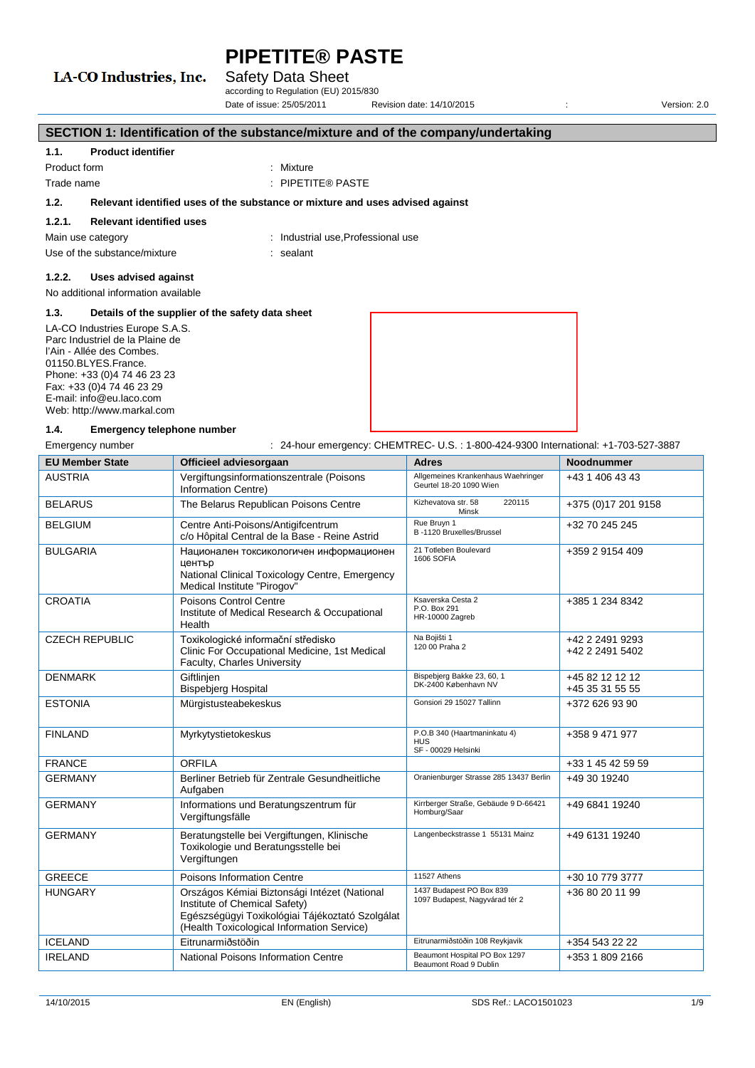### LA-CO Industries, Inc.

#### Safety Data Sheet

according to Regulation (EU) 2015/830 Date of issue: 25/05/2011 Revision date: 14/10/2015 : Version: 2.0

| SECTION 1: Identification of the substance/mixture and of the company/undertaking                                                                                                                                                                                                               |                                     |                                                                               |
|-------------------------------------------------------------------------------------------------------------------------------------------------------------------------------------------------------------------------------------------------------------------------------------------------|-------------------------------------|-------------------------------------------------------------------------------|
| 1.1.                                                                                                                                                                                                                                                                                            | <b>Product identifier</b>           |                                                                               |
| Product form                                                                                                                                                                                                                                                                                    |                                     | : Mixture                                                                     |
| Trade name                                                                                                                                                                                                                                                                                      |                                     | $:$ PIPETITE® PASTE                                                           |
| 1.2.                                                                                                                                                                                                                                                                                            |                                     | Relevant identified uses of the substance or mixture and uses advised against |
| 1.2.1.                                                                                                                                                                                                                                                                                          | <b>Relevant identified uses</b>     |                                                                               |
| Main use category                                                                                                                                                                                                                                                                               |                                     | : Industrial use, Professional use                                            |
|                                                                                                                                                                                                                                                                                                 | Use of the substance/mixture        | : sealant                                                                     |
| 1.2.2.                                                                                                                                                                                                                                                                                          | Uses advised against                |                                                                               |
|                                                                                                                                                                                                                                                                                                 | No additional information available |                                                                               |
| 1.3.                                                                                                                                                                                                                                                                                            |                                     |                                                                               |
| Details of the supplier of the safety data sheet<br>LA-CO Industries Europe S.A.S.<br>Parc Industriel de la Plaine de<br>l'Ain - Allée des Combes.<br>01150.BLYES.France.<br>Phone: +33 (0)4 74 46 23 23<br>Fax: +33 (0)4 74 46 23 29<br>E-mail: info@eu.laco.com<br>Web: http://www.markal.com |                                     |                                                                               |

#### **1.4. Emergency telephone number**

Emergency number : 24-hour emergency: CHEMTREC- U.S.: 1-800-424-9300 International: +1-703-527-3887

| <b>EU Member State</b> | Officieel adviesorgaan                                                                                                                                                         | <b>Adres</b>                                                      | <b>Noodnummer</b>                  |
|------------------------|--------------------------------------------------------------------------------------------------------------------------------------------------------------------------------|-------------------------------------------------------------------|------------------------------------|
| <b>AUSTRIA</b>         | Vergiftungsinformationszentrale (Poisons<br>Information Centre)                                                                                                                | Allgemeines Krankenhaus Waehringer<br>Geurtel 18-20 1090 Wien     | +43 1 406 43 43                    |
| <b>BELARUS</b>         | The Belarus Republican Poisons Centre                                                                                                                                          | Kizhevatova str. 58<br>220115<br>Minsk                            | +375 (0) 17 201 9158               |
| <b>BELGIUM</b>         | Centre Anti-Poisons/Antigifcentrum<br>c/o Hôpital Central de la Base - Reine Astrid                                                                                            | Rue Bruyn 1<br>B-1120 Bruxelles/Brussel                           | +32 70 245 245                     |
| <b>BULGARIA</b>        | Национален токсикологичен информационен<br>център<br>National Clinical Toxicology Centre, Emergency<br>Medical Institute "Pirogov"                                             | 21 Totleben Boulevard<br>1606 SOFIA                               | +359 2 9154 409                    |
| <b>CROATIA</b>         | Poisons Control Centre<br>Institute of Medical Research & Occupational<br>Health                                                                                               | Ksaverska Cesta 2<br>P.O. Box 291<br>HR-10000 Zagreb              | +385 1 234 8342                    |
| <b>CZECH REPUBLIC</b>  | Toxikologické informační středisko<br>Clinic For Occupational Medicine, 1st Medical<br>Faculty, Charles University                                                             | Na Bojišti 1<br>120 00 Praha 2                                    | +42 2 2491 9293<br>+42 2 2491 5402 |
| <b>DENMARK</b>         | Giftlinjen<br><b>Bispebjerg Hospital</b>                                                                                                                                       | Bispebjerg Bakke 23, 60, 1<br>DK-2400 København NV                | +45 82 12 12 12<br>+45 35 31 55 55 |
| <b>ESTONIA</b>         | Mürgistusteabekeskus                                                                                                                                                           | Gonsiori 29 15027 Tallinn                                         | +372 626 93 90                     |
| <b>FINLAND</b>         | Myrkytystietokeskus                                                                                                                                                            | P.O.B 340 (Haartmaninkatu 4)<br><b>HUS</b><br>SF - 00029 Helsinki | +358 9 471 977                     |
| <b>FRANCE</b>          | <b>ORFILA</b>                                                                                                                                                                  |                                                                   | +33 1 45 42 59 59                  |
| <b>GERMANY</b>         | Berliner Betrieb für Zentrale Gesundheitliche<br>Aufgaben                                                                                                                      | Oranienburger Strasse 285 13437 Berlin                            | +49 30 19240                       |
| <b>GERMANY</b>         | Informations und Beratungszentrum für<br>Vergiftungsfälle                                                                                                                      | Kirrberger Straße, Gebäude 9 D-66421<br>Homburg/Saar              | +49 6841 19240                     |
| <b>GERMANY</b>         | Beratungstelle bei Vergiftungen, Klinische<br>Toxikologie und Beratungsstelle bei<br>Vergiftungen                                                                              | Langenbeckstrasse 1 55131 Mainz                                   | +49 6131 19240                     |
| <b>GREECE</b>          | Poisons Information Centre                                                                                                                                                     | 11527 Athens                                                      | +30 10 779 3777                    |
| <b>HUNGARY</b>         | Országos Kémiai Biztonsági Intézet (National<br>Institute of Chemical Safety)<br>Egészségügyi Toxikológiai Tájékoztató Szolgálat<br>(Health Toxicological Information Service) | 1437 Budapest PO Box 839<br>1097 Budapest, Nagyvárad tér 2        | +36 80 20 11 99                    |
| <b>ICELAND</b>         | Eitrunarmiðstöðin                                                                                                                                                              | Eitrunarmiðstöðin 108 Reykjavik                                   | +354 543 22 22                     |
| <b>IRELAND</b>         | National Poisons Information Centre                                                                                                                                            | Beaumont Hospital PO Box 1297<br>Beaumont Road 9 Dublin           | +353 1 809 2166                    |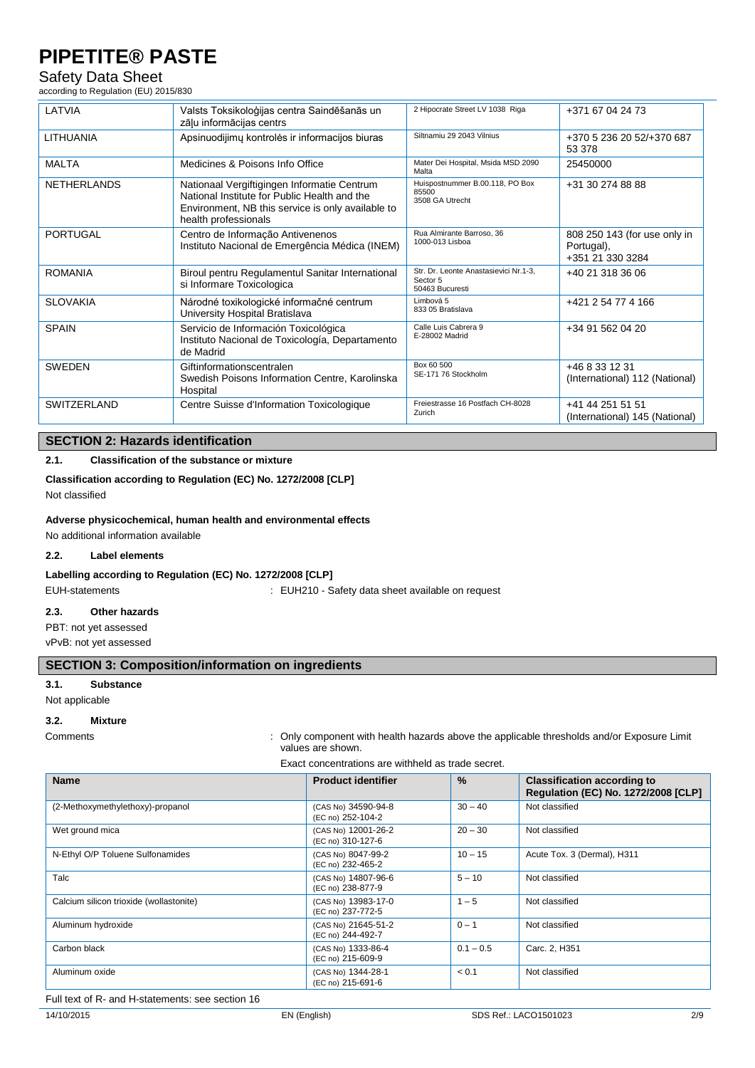#### Safety Data Sheet

according to Regulation (EU) 2015/830

| LATVIA             | Valsts Toksikoloģijas centra Saindēšanās un<br>zāļu informācijas centrs                                                                                                  | 2 Hipocrate Street LV 1038 Riga                                      | +371 67 04 24 73                                               |
|--------------------|--------------------------------------------------------------------------------------------------------------------------------------------------------------------------|----------------------------------------------------------------------|----------------------------------------------------------------|
| <b>LITHUANIA</b>   | Apsinuodijimų kontrolės ir informacijos biuras                                                                                                                           | Siltnamiu 29 2043 Vilnius                                            | +370 5 236 20 52/+370 687<br>53 378                            |
| <b>MALTA</b>       | Medicines & Poisons Info Office                                                                                                                                          | Mater Dei Hospital, Msida MSD 2090<br>Malta                          | 25450000                                                       |
| <b>NETHERLANDS</b> | Nationaal Vergiftigingen Informatie Centrum<br>National Institute for Public Health and the<br>Environment, NB this service is only available to<br>health professionals | Huispostnummer B.00.118, PO Box<br>85500<br>3508 GA Utrecht          | +31 30 274 88 88                                               |
| <b>PORTUGAL</b>    | Centro de Informação Antivenenos<br>Instituto Nacional de Emergência Médica (INEM)                                                                                       | Rua Almirante Barroso, 36<br>1000-013 Lisboa                         | 808 250 143 (for use only in<br>Portugal),<br>+351 21 330 3284 |
| <b>ROMANIA</b>     | Biroul pentru Regulamentul Sanitar International<br>si Informare Toxicologica                                                                                            | Str. Dr. Leonte Anastasievici Nr.1-3,<br>Sector 5<br>50463 Bucuresti | +40 21 318 36 06                                               |
| <b>SLOVAKIA</b>    | Národné toxikologické informačné centrum<br>University Hospital Bratislava                                                                                               | Limbová 5<br>833 05 Bratislava                                       | +421 2 54 77 4 166                                             |
| <b>SPAIN</b>       | Servicio de Información Toxicológica<br>Instituto Nacional de Toxicología, Departamento<br>de Madrid                                                                     | Calle Luis Cabrera 9<br>E-28002 Madrid                               | +34 91 562 04 20                                               |
| <b>SWEDEN</b>      | Giftinformationscentralen<br>Swedish Poisons Information Centre, Karolinska<br>Hospital                                                                                  | Box 60 500<br>SE-171 76 Stockholm                                    | +46 8 33 12 31<br>(International) 112 (National)               |
| SWITZERLAND        | Centre Suisse d'Information Toxicologique                                                                                                                                | Freiestrasse 16 Postfach CH-8028<br>Zurich                           | +41 44 251 51 51<br>(International) 145 (National)             |

### **SECTION 2: Hazards identification**

#### **2.1. Classification of the substance or mixture**

#### **Classification according to Regulation (EC) No. 1272/2008 [CLP]**

Not classified

#### **Adverse physicochemical, human health and environmental effects**

No additional information available

#### **2.2. Label elements**

#### **Labelling according to Regulation (EC) No. 1272/2008 [CLP]**

EUH-statements **EUH210** - Safety data sheet available on request

**2.3. Other hazards**

PBT: not yet assessed

vPvB: not yet assessed

#### **SECTION 3: Composition/information on ingredients**

#### **3.1. Substance**

Not applicable

#### **3.2. Mixture**

Comments : Only component with health hazards above the applicable thresholds and/or Exposure Limit values are shown.

Exact concentrations are withheld as trade secret.

| <b>Name</b>                             | <b>Product identifier</b>                | $\frac{9}{6}$ | <b>Classification according to</b><br>Regulation (EC) No. 1272/2008 [CLP] |
|-----------------------------------------|------------------------------------------|---------------|---------------------------------------------------------------------------|
| (2-Methoxymethylethoxy)-propanol        | (CAS No) 34590-94-8<br>(EC no) 252-104-2 | $30 - 40$     | Not classified                                                            |
| Wet ground mica                         | (CAS No) 12001-26-2<br>(EC no) 310-127-6 | $20 - 30$     | Not classified                                                            |
| N-Ethyl O/P Toluene Sulfonamides        | (CAS No) 8047-99-2<br>(EC no) 232-465-2  | $10 - 15$     | Acute Tox. 3 (Dermal), H311                                               |
| Talc                                    | (CAS No) 14807-96-6<br>(EC no) 238-877-9 | $5 - 10$      | Not classified                                                            |
| Calcium silicon trioxide (wollastonite) | (CAS No) 13983-17-0<br>(EC no) 237-772-5 | $1 - 5$       | Not classified                                                            |
| Aluminum hydroxide                      | (CAS No) 21645-51-2<br>(EC no) 244-492-7 | $0 - 1$       | Not classified                                                            |
| Carbon black                            | (CAS No) 1333-86-4<br>(EC no) 215-609-9  | $0.1 - 0.5$   | Carc. 2, H351                                                             |
| Aluminum oxide                          | (CAS No) 1344-28-1<br>(EC no) 215-691-6  | < 0.1         | Not classified                                                            |

Full text of R- and H-statements: see section 16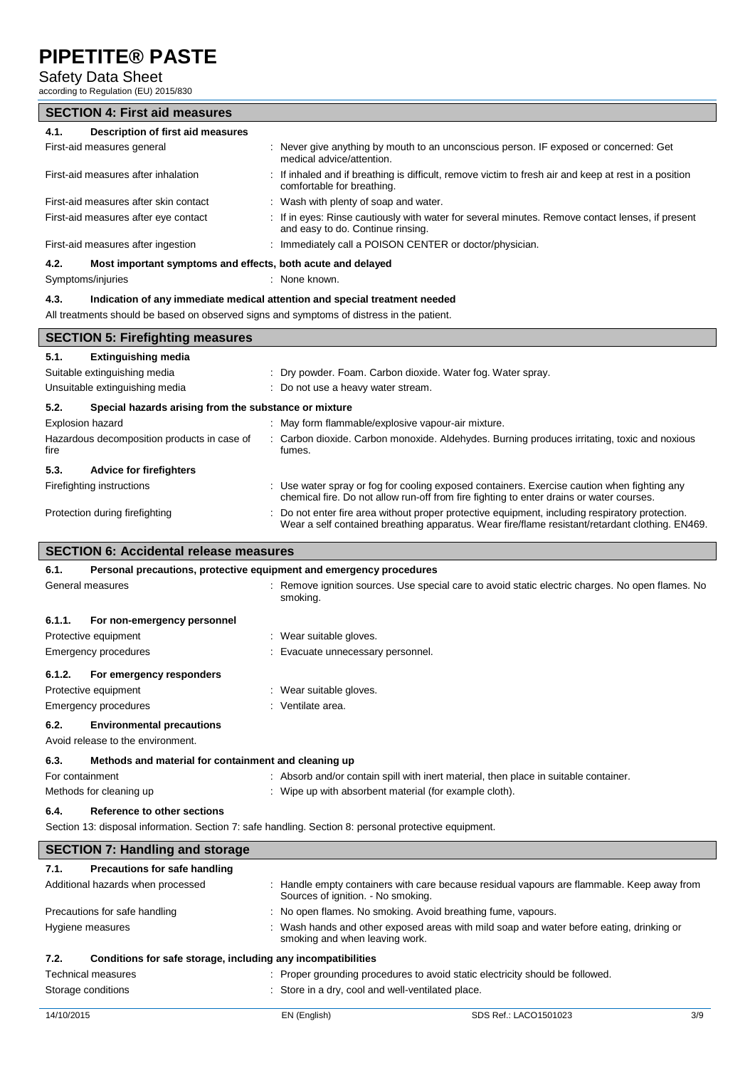#### Safety Data Sheet

according to Regulation (EU) 2015/830

### **SECTION 4: First aid measures**

| Description of first aid measures<br>4.1.                                                 |                                                                                                                                       |  |  |
|-------------------------------------------------------------------------------------------|---------------------------------------------------------------------------------------------------------------------------------------|--|--|
| First-aid measures general                                                                | : Never give anything by mouth to an unconscious person. IF exposed or concerned: Get<br>medical advice/attention.                    |  |  |
| First-aid measures after inhalation                                                       | : If inhaled and if breathing is difficult, remove victim to fresh air and keep at rest in a position<br>comfortable for breathing.   |  |  |
| First-aid measures after skin contact                                                     | : Wash with plenty of soap and water.                                                                                                 |  |  |
| First-aid measures after eye contact                                                      | : If in eyes: Rinse cautiously with water for several minutes. Remove contact lenses, if present<br>and easy to do. Continue rinsing. |  |  |
| First-aid measures after ingestion                                                        | : Immediately call a POISON CENTER or doctor/physician.                                                                               |  |  |
| Most important symptoms and effects, both acute and delayed<br>4.2.                       |                                                                                                                                       |  |  |
| : None known.<br>Symptoms/injuries                                                        |                                                                                                                                       |  |  |
| Indication of any immediate medical attention and special treatment needed<br>4.3.        |                                                                                                                                       |  |  |
| All treatments should be based on observed signs and symptoms of distress in the patient. |                                                                                                                                       |  |  |
| <b>SECTION 5: Firefighting measures</b>                                                   |                                                                                                                                       |  |  |

| <b>SECTION 5: Firefighting measures</b>                       |                                                                                                                                                                                                    |  |  |  |  |
|---------------------------------------------------------------|----------------------------------------------------------------------------------------------------------------------------------------------------------------------------------------------------|--|--|--|--|
| <b>Extinguishing media</b><br>5.1.                            |                                                                                                                                                                                                    |  |  |  |  |
| Suitable extinguishing media                                  | : Dry powder. Foam. Carbon dioxide. Water fog. Water spray.                                                                                                                                        |  |  |  |  |
| Unsuitable extinguishing media                                | : Do not use a heavy water stream.                                                                                                                                                                 |  |  |  |  |
| 5.2.<br>Special hazards arising from the substance or mixture |                                                                                                                                                                                                    |  |  |  |  |
| Explosion hazard                                              | : May form flammable/explosive vapour-air mixture.                                                                                                                                                 |  |  |  |  |
| Hazardous decomposition products in case of<br>fire           | : Carbon dioxide. Carbon monoxide. Aldehydes. Burning produces irritating, toxic and noxious<br>fumes.                                                                                             |  |  |  |  |
| 5.3.<br><b>Advice for firefighters</b>                        |                                                                                                                                                                                                    |  |  |  |  |
| Firefighting instructions                                     | : Use water spray or fog for cooling exposed containers. Exercise caution when fighting any<br>chemical fire. Do not allow run-off from fire fighting to enter drains or water courses.            |  |  |  |  |
| Protection during firefighting                                | : Do not enter fire area without proper protective equipment, including respiratory protection.<br>Wear a self contained breathing apparatus. Wear fire/flame resistant/retardant clothing. EN469. |  |  |  |  |
| <b>SECTION 6: Accidental release measures</b>                 |                                                                                                                                                                                                    |  |  |  |  |
| 6.1.                                                          | Personal precautions, protective equipment and emergency procedures                                                                                                                                |  |  |  |  |
| General measures                                              | : Remove ignition sources. Use special care to avoid static electric charges. No open flames. No<br>smoking.                                                                                       |  |  |  |  |
| 6.1.1.<br>For non-emergency personnel                         |                                                                                                                                                                                                    |  |  |  |  |

| Protective equipment               | : Wear suitable gloves.           |
|------------------------------------|-----------------------------------|
| Emergency procedures               | : Evacuate unnecessary personnel. |
| For emergency responders<br>6.1.2. |                                   |
| Protective equipment               | : Wear suitable gloves.           |
| Emergency procedures               | : Ventilate area.                 |

#### **6.2. Environmental precautions**

Avoid release to the environment.

| 6.3. | Methods and material for containment and cleaning up |
|------|------------------------------------------------------|
|------|------------------------------------------------------|

| For containment         | Absorb and/or contain spill with inert material, then place in suitable container. |
|-------------------------|------------------------------------------------------------------------------------|
| Methods for cleaning up | Wipe up with absorbent material (for example cloth).                               |
| $\sim$ $\sim$           |                                                                                    |

#### **6.4. Reference to other sections**

Section 13: disposal information. Section 7: safe handling. Section 8: personal protective equipment.

| <b>SECTION 7: Handling and storage</b>                               |                                                                                                                                  |  |  |
|----------------------------------------------------------------------|----------------------------------------------------------------------------------------------------------------------------------|--|--|
| Precautions for safe handling<br>7.1.                                |                                                                                                                                  |  |  |
| Additional hazards when processed                                    | : Handle empty containers with care because residual vapours are flammable. Keep away from<br>Sources of ignition. - No smoking. |  |  |
| Precautions for safe handling                                        | : No open flames. No smoking. Avoid breathing fume, vapours.                                                                     |  |  |
| Hygiene measures                                                     | : Wash hands and other exposed areas with mild soap and water before eating, drinking or<br>smoking and when leaving work.       |  |  |
| Conditions for safe storage, including any incompatibilities<br>7.2. |                                                                                                                                  |  |  |
| <b>Technical measures</b>                                            | : Proper grounding procedures to avoid static electricity should be followed.                                                    |  |  |
| Storage conditions                                                   | : Store in a dry, cool and well-ventilated place.                                                                                |  |  |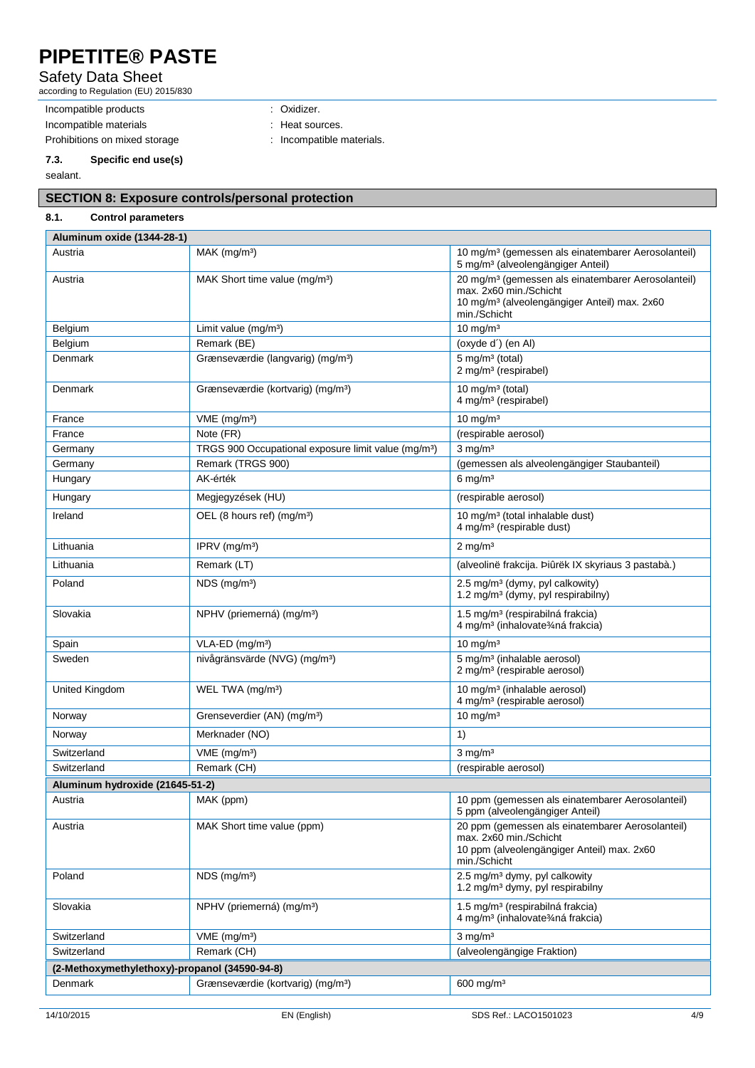### Safety Data Sheet

according to Regulation (EU) 2015/830

Incompatible products : Oxidizer. Incompatible materials **incompatible materials** : Heat sources. Prohibitions on mixed storage : Incompatible materials.

# **7.3. Specific end use(s)**

sealant.

### **SECTION 8: Exposure controls/personal protection**

#### **8.1. Control parameters Aluminum oxide (1344-28-1)**

| AIUIIIIIIUIII VAIUE (1944-20-1                |                                                                 |                                                                                                                                                                      |
|-----------------------------------------------|-----------------------------------------------------------------|----------------------------------------------------------------------------------------------------------------------------------------------------------------------|
| Austria                                       | $MAK$ (mg/m <sup>3</sup> )                                      | 10 mg/m <sup>3</sup> (gemessen als einatembarer Aerosolanteil)<br>5 mg/m <sup>3</sup> (alveolengängiger Anteil)                                                      |
| Austria                                       | MAK Short time value (mg/m <sup>3</sup> )                       | 20 mg/m <sup>3</sup> (gemessen als einatembarer Aerosolanteil)<br>max. 2x60 min./Schicht<br>10 mg/m <sup>3</sup> (alveolengängiger Anteil) max. 2x60<br>min./Schicht |
| Belgium                                       | Limit value (mg/m <sup>3</sup> )                                | $10 \text{ mg/m}^3$                                                                                                                                                  |
| Belgium                                       | Remark (BE)                                                     | (oxyde d') (en Al)                                                                                                                                                   |
| Denmark                                       | Grænseværdie (langvarig) (mg/m <sup>3</sup> )                   | $5 \text{ mg/m}^3$ (total)<br>2 mg/m <sup>3</sup> (respirabel)                                                                                                       |
| Denmark                                       | Grænseværdie (kortvarig) (mg/m <sup>3</sup> )                   | 10 mg/m $3$ (total)<br>4 mg/m <sup>3</sup> (respirabel)                                                                                                              |
| France                                        | VME (mg/m <sup>3</sup> )                                        | $10 \text{ mg/m}^3$                                                                                                                                                  |
| France                                        | Note (FR)                                                       | (respirable aerosol)                                                                                                                                                 |
| Germany                                       | TRGS 900 Occupational exposure limit value (mg/m <sup>3</sup> ) | $3$ mg/m <sup>3</sup>                                                                                                                                                |
| Germany                                       | Remark (TRGS 900)                                               | (gemessen als alveolengängiger Staubanteil)                                                                                                                          |
| Hungary                                       | AK-érték                                                        | $6 \text{ mg/m}^3$                                                                                                                                                   |
| Hungary                                       | Megjegyzések (HU)                                               | (respirable aerosol)                                                                                                                                                 |
| Ireland                                       | OEL (8 hours ref) (mg/m <sup>3</sup> )                          | 10 mg/m <sup>3</sup> (total inhalable dust)<br>4 mg/m <sup>3</sup> (respirable dust)                                                                                 |
| Lithuania                                     | IPRV (mg/m <sup>3</sup> )                                       | $2 \text{ mg/m}^3$                                                                                                                                                   |
| Lithuania                                     | Remark (LT)                                                     | (alveolinë frakcija. Þiûrëk IX skyriaus 3 pastabà.)                                                                                                                  |
| Poland                                        | NDS (mg/m <sup>3</sup> )                                        | 2.5 mg/m <sup>3</sup> (dymy, pyl calkowity)<br>1.2 mg/m <sup>3</sup> (dymy, pyl respirabilny)                                                                        |
| Slovakia                                      | NPHV (priemerná) (mg/m <sup>3</sup> )                           | 1.5 mg/m <sup>3</sup> (respirabilná frakcia)<br>4 mg/m <sup>3</sup> (inhalovate3⁄4ná frakcia)                                                                        |
| Spain                                         | VLA-ED (mg/m <sup>3</sup> )                                     | $10 \text{ mg/m}^3$                                                                                                                                                  |
| Sweden                                        | nivågränsvärde (NVG) (mg/m <sup>3</sup> )                       | 5 mg/m <sup>3</sup> (inhalable aerosol)<br>2 mg/m <sup>3</sup> (respirable aerosol)                                                                                  |
| United Kingdom                                | WEL TWA (mg/m <sup>3</sup> )                                    | 10 mg/m <sup>3</sup> (inhalable aerosol)<br>4 mg/m <sup>3</sup> (respirable aerosol)                                                                                 |
| Norway                                        | Grenseverdier (AN) (mg/m <sup>3</sup> )                         | $10 \text{ mg/m}^3$                                                                                                                                                  |
| Norway                                        | Merknader (NO)                                                  | 1)                                                                                                                                                                   |
| Switzerland                                   | $VME$ (mg/m <sup>3</sup> )                                      | $3$ mg/m <sup>3</sup>                                                                                                                                                |
| Switzerland                                   | Remark (CH)                                                     | (respirable aerosol)                                                                                                                                                 |
| Aluminum hydroxide (21645-51-2)               |                                                                 |                                                                                                                                                                      |
| Austria                                       | MAK (ppm)                                                       | 10 ppm (gemessen als einatembarer Aerosolanteil)<br>5 ppm (alveolengängiger Anteil)                                                                                  |
| Austria                                       | MAK Short time value (ppm)                                      | 20 ppm (gemessen als einatembarer Aerosolanteil)<br>max. 2x60 min./Schicht<br>10 ppm (alveolengängiger Anteil) max. 2x60<br>min./Schicht                             |
| Poland                                        | $NDS$ (mg/m <sup>3</sup> )                                      | 2.5 mg/m <sup>3</sup> dymy, pyl calkowity<br>1.2 mg/m <sup>3</sup> dymy, pyl respirabilny                                                                            |
| Slovakia                                      | NPHV (priemerná) (mg/m <sup>3</sup> )                           | 1.5 mg/m <sup>3</sup> (respirabilná frakcia)<br>4 mg/m <sup>3</sup> (inhalovate <sup>3</sup> /aná frakcia)                                                           |
| Switzerland                                   | $VME$ (mg/m <sup>3</sup> )                                      | $3 \text{ ma/m}^3$                                                                                                                                                   |
| Switzerland                                   | Remark (CH)                                                     | (alveolengängige Fraktion)                                                                                                                                           |
| (2-Methoxymethylethoxy)-propanol (34590-94-8) |                                                                 |                                                                                                                                                                      |
| Denmark                                       | Grænseværdie (kortvarig) (mg/m <sup>3</sup> )                   | 600 mg/m <sup>3</sup>                                                                                                                                                |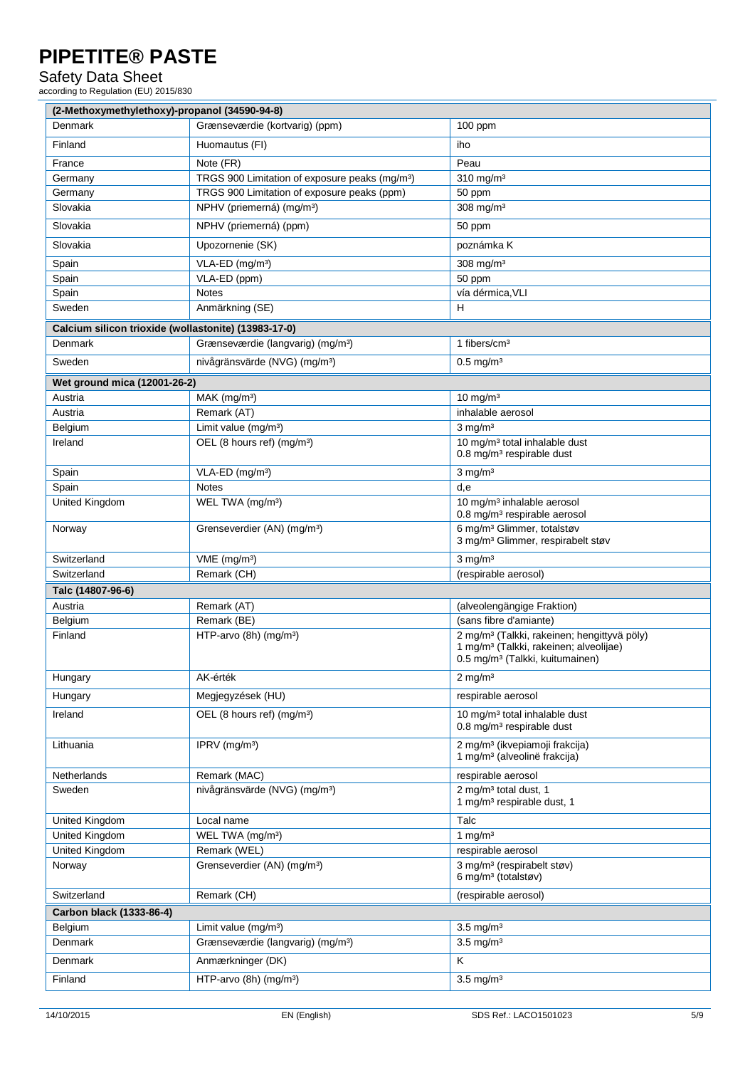Safety Data Sheet

according to Regulation (EU) 2015/830

| (2-Methoxymethylethoxy)-propanol (34590-94-8)        |                                                            |                                                                                                                                                              |  |
|------------------------------------------------------|------------------------------------------------------------|--------------------------------------------------------------------------------------------------------------------------------------------------------------|--|
| Denmark                                              | Grænseværdie (kortvarig) (ppm)                             | $100$ ppm                                                                                                                                                    |  |
| Finland                                              | Huomautus (FI)                                             | iho                                                                                                                                                          |  |
| France                                               | Note (FR)                                                  | Peau                                                                                                                                                         |  |
| Germany                                              | TRGS 900 Limitation of exposure peaks (mg/m <sup>3</sup> ) | 310 mg/m <sup>3</sup>                                                                                                                                        |  |
| Germany                                              | TRGS 900 Limitation of exposure peaks (ppm)                | 50 ppm                                                                                                                                                       |  |
| Slovakia                                             | NPHV (priemerná) (mg/m <sup>3</sup> )                      | 308 mg/m <sup>3</sup>                                                                                                                                        |  |
| Slovakia                                             | NPHV (priemerná) (ppm)                                     | 50 ppm                                                                                                                                                       |  |
| Slovakia                                             | Upozornenie (SK)                                           | poznámka K                                                                                                                                                   |  |
| Spain                                                | VLA-ED (mg/m <sup>3</sup> )                                | 308 mg/m <sup>3</sup>                                                                                                                                        |  |
| Spain                                                | VLA-ED (ppm)                                               | 50 ppm                                                                                                                                                       |  |
| Spain                                                | <b>Notes</b>                                               | vía dérmica, VLI                                                                                                                                             |  |
| Sweden                                               | Anmärkning (SE)                                            | H                                                                                                                                                            |  |
| Calcium silicon trioxide (wollastonite) (13983-17-0) |                                                            |                                                                                                                                                              |  |
| Denmark                                              | Grænseværdie (langvarig) (mg/m <sup>3</sup> )              | 1 fibers/cm <sup>3</sup>                                                                                                                                     |  |
| Sweden                                               | nivågränsvärde (NVG) (mg/m <sup>3</sup> )                  | $0.5$ mg/m <sup>3</sup>                                                                                                                                      |  |
| Wet ground mica (12001-26-2)                         |                                                            |                                                                                                                                                              |  |
| Austria                                              | $MAK$ (mg/m <sup>3</sup> )                                 | $10 \text{ mg/m}^3$                                                                                                                                          |  |
| Austria                                              | Remark (AT)                                                | inhalable aerosol                                                                                                                                            |  |
| Belgium                                              | Limit value (mg/m <sup>3</sup> )                           | $3$ mg/m <sup>3</sup>                                                                                                                                        |  |
| Ireland                                              | OEL (8 hours ref) (mg/m <sup>3</sup> )                     | 10 mg/m <sup>3</sup> total inhalable dust<br>0.8 mg/m <sup>3</sup> respirable dust                                                                           |  |
| Spain                                                | VLA-ED (mg/m <sup>3</sup> )                                | $3$ mg/m <sup>3</sup>                                                                                                                                        |  |
| Spain                                                | <b>Notes</b>                                               | d,e                                                                                                                                                          |  |
| <b>United Kingdom</b>                                | WEL TWA (mg/m <sup>3</sup> )                               | 10 mg/m <sup>3</sup> inhalable aerosol<br>0.8 mg/m <sup>3</sup> respirable aerosol                                                                           |  |
| Norway                                               | Grenseverdier (AN) (mg/m <sup>3</sup> )                    | 6 mg/m <sup>3</sup> Glimmer, totalstøv<br>3 mg/m <sup>3</sup> Glimmer, respirabelt støv                                                                      |  |
| Switzerland                                          | VME (mg/m <sup>3</sup> )                                   | $3$ mg/m <sup>3</sup>                                                                                                                                        |  |
| Switzerland                                          | Remark (CH)                                                | (respirable aerosol)                                                                                                                                         |  |
| Talc (14807-96-6)                                    |                                                            |                                                                                                                                                              |  |
| Austria                                              | Remark (AT)                                                | (alveolengängige Fraktion)                                                                                                                                   |  |
| Belgium                                              | Remark (BE)                                                | (sans fibre d'amiante)                                                                                                                                       |  |
| Finland                                              | HTP-arvo $(8h)$ (mg/m <sup>3</sup> )                       | 2 mg/m <sup>3</sup> (Talkki, rakeinen; hengittyvä pöly)<br>1 mg/m <sup>3</sup> (Talkki, rakeinen; alveolijae)<br>0.5 mg/m <sup>3</sup> (Talkki, kuitumainen) |  |
| Hungary                                              | AK-érték                                                   | $2 \text{ mg/m}^3$                                                                                                                                           |  |
| Hungary                                              | Megjegyzések (HU)                                          | respirable aerosol                                                                                                                                           |  |
| Ireland                                              | OEL (8 hours ref) (mg/m <sup>3</sup> )                     | 10 mg/m <sup>3</sup> total inhalable dust<br>0.8 mg/m <sup>3</sup> respirable dust                                                                           |  |
| Lithuania                                            | IPRV (mg/m <sup>3</sup> )                                  | 2 mg/m <sup>3</sup> (ikvepiamoji frakcija)<br>1 mg/m <sup>3</sup> (alveolinë frakcija)                                                                       |  |
| Netherlands                                          | Remark (MAC)                                               | respirable aerosol                                                                                                                                           |  |
| Sweden                                               | nivågränsvärde (NVG) (mg/m <sup>3</sup> )                  | 2 mg/m <sup>3</sup> total dust, 1<br>1 mg/m <sup>3</sup> respirable dust, 1                                                                                  |  |
| United Kingdom                                       | Local name                                                 | Talc                                                                                                                                                         |  |
| United Kingdom                                       | WEL TWA (mg/m <sup>3</sup> )                               | 1 mg/ $m3$                                                                                                                                                   |  |
| United Kingdom                                       | Remark (WEL)                                               | respirable aerosol                                                                                                                                           |  |
| Norway                                               | Grenseverdier (AN) (mg/m <sup>3</sup> )                    | 3 mg/m <sup>3</sup> (respirabelt støv)<br>6 mg/m <sup>3</sup> (totalstøv)                                                                                    |  |
| Switzerland                                          | Remark (CH)                                                | (respirable aerosol)                                                                                                                                         |  |
| Carbon black (1333-86-4)                             |                                                            |                                                                                                                                                              |  |
| Belgium                                              | Limit value (mg/m <sup>3</sup> )                           | $3.5 \text{ mg/m}^3$                                                                                                                                         |  |
| Denmark                                              | Grænseværdie (langvarig) (mg/m <sup>3</sup> )              | $3.5$ mg/m <sup>3</sup>                                                                                                                                      |  |
| Denmark                                              | Anmærkninger (DK)                                          | K                                                                                                                                                            |  |
|                                                      |                                                            |                                                                                                                                                              |  |
| Finland                                              | HTP-arvo (8h) (mg/m <sup>3</sup> )                         | $3.5$ mg/m <sup>3</sup>                                                                                                                                      |  |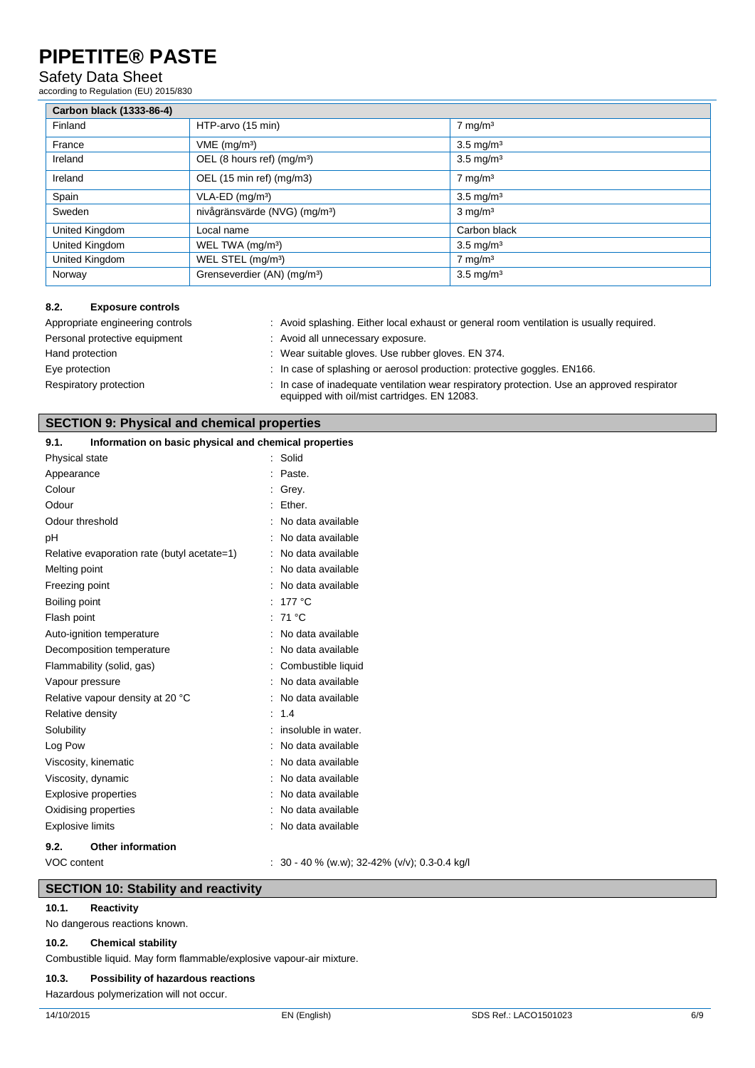#### Safety Data Sheet

according to Regulation (EU) 2015/830

| Carbon black (1333-86-4) |                                           |                      |
|--------------------------|-------------------------------------------|----------------------|
| Finland                  | HTP-arvo (15 min)                         | $7 \text{ mg/m}^3$   |
| France                   | $VME$ (mg/m <sup>3</sup> )                | $3.5 \text{ mg/m}^3$ |
| Ireland                  | OEL (8 hours ref) (mg/m <sup>3</sup> )    | $3.5 \text{ mg/m}^3$ |
| Ireland                  | OEL (15 min ref) (mg/m3)                  | $7 \text{ mg/m}^3$   |
| Spain                    | $VLA-ED$ (mg/m <sup>3</sup> )             | $3.5 \text{ mg/m}^3$ |
| Sweden                   | nivågränsvärde (NVG) (mg/m <sup>3</sup> ) | $3 \text{ mg/m}^3$   |
| United Kingdom           | Local name                                | Carbon black         |
| United Kingdom           | WEL TWA (mg/m <sup>3</sup> )              | $3.5 \text{ mg/m}^3$ |
| United Kingdom           | WEL STEL (mg/m <sup>3</sup> )             | $7 \text{ mg/m}^3$   |
| Norway                   | Grenseverdier (AN) (mg/m <sup>3</sup> )   | $3.5 \text{ mg/m}^3$ |

#### **8.2. Exposure controls**

| Appropriate engineering controls | : Avoid splashing. Either local exhaust or general room ventilation is usually required.                                                    |
|----------------------------------|---------------------------------------------------------------------------------------------------------------------------------------------|
| Personal protective equipment    | : Avoid all unnecessary exposure.                                                                                                           |
| Hand protection                  | : Wear suitable gloves. Use rubber gloves. EN 374.                                                                                          |
| Eye protection                   | $\therefore$ In case of splashing or aerosol production: protective goggles. $EN166$ .                                                      |
| Respiratory protection           | : In case of inadequate ventilation wear respiratory protection. Use an approved respirator<br>equipped with oil/mist cartridges. EN 12083. |

#### **SECTION 9: Physical and chemical properties**

#### **9.1. Information on basic physical and chemical properties**

| Physical state              |                                             | Solid                                       |
|-----------------------------|---------------------------------------------|---------------------------------------------|
| Appearance                  |                                             | Paste.                                      |
| Colour                      |                                             | Grey.                                       |
| Odour                       |                                             | Ether.                                      |
| Odour threshold             |                                             | No data available                           |
| рH                          |                                             | No data available                           |
|                             | Relative evaporation rate (butyl acetate=1) | : No data available                         |
| Melting point               |                                             | No data available                           |
| Freezing point              |                                             | No data available                           |
| Boiling point               |                                             | 177 °C                                      |
| Flash point                 |                                             | : 71 °C                                     |
|                             | Auto-ignition temperature                   | No data available                           |
|                             | Decomposition temperature                   | No data available                           |
|                             | Flammability (solid, gas)                   | : Combustible liquid                        |
| Vapour pressure             |                                             | : No data available                         |
|                             | Relative vapour density at 20 °C            | No data available                           |
| Relative density            |                                             | 1.4                                         |
| Solubility                  |                                             | insoluble in water.                         |
| Log Pow                     |                                             | No data available                           |
|                             | Viscosity, kinematic                        | No data available                           |
| Viscosity, dynamic          |                                             | No data available                           |
| <b>Explosive properties</b> |                                             | : No data available                         |
|                             | Oxidising properties                        | No data available                           |
| <b>Explosive limits</b>     |                                             | No data available                           |
| 9.2.                        | <b>Other information</b>                    |                                             |
| VOC content                 |                                             | 30 - 40 % (w.w); 32-42% (v/v); 0.3-0.4 kg/l |

#### **SECTION 10: Stability and reactivity**

#### **10.1. Reactivity**

No dangerous reactions known.

#### **10.2. Chemical stability**

Combustible liquid. May form flammable/explosive vapour-air mixture.

#### **10.3. Possibility of hazardous reactions**

Hazardous polymerization will not occur.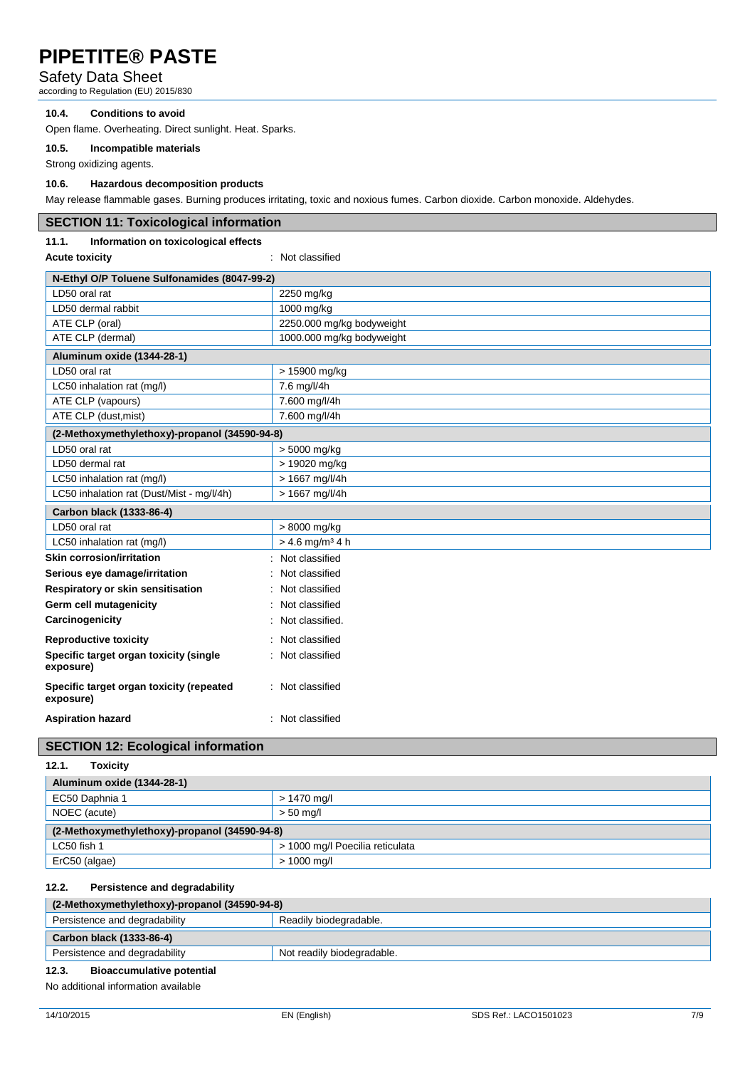#### Safety Data Sheet

according to Regulation (EU) 2015/830

#### **10.4. Conditions to avoid**

Open flame. Overheating. Direct sunlight. Heat. Sparks.

**10.5. Incompatible materials**

Strong oxidizing agents.

#### **10.6. Hazardous decomposition products**

May release flammable gases. Burning produces irritating, toxic and noxious fumes. Carbon dioxide. Carbon monoxide. Aldehydes.

| <b>SECTION 11: Toxicological information</b> |  |
|----------------------------------------------|--|
|----------------------------------------------|--|

#### **11.1. Information on toxicological effects**

**Acute toxicity** : Not classified

| N-Ethyl O/P Toluene Sulfonamides (8047-99-2)          |                               |  |
|-------------------------------------------------------|-------------------------------|--|
| LD50 oral rat                                         | 2250 mg/kg                    |  |
| LD50 dermal rabbit                                    | 1000 mg/kg                    |  |
| ATE CLP (oral)                                        | 2250.000 mg/kg bodyweight     |  |
| ATE CLP (dermal)                                      | 1000.000 mg/kg bodyweight     |  |
| Aluminum oxide (1344-28-1)                            |                               |  |
| LD50 oral rat                                         | > 15900 mg/kg                 |  |
| LC50 inhalation rat (mg/l)                            | 7.6 mg/l/4h                   |  |
| ATE CLP (vapours)                                     | 7.600 mg/l/4h                 |  |
| ATE CLP (dust, mist)                                  | 7.600 mg/l/4h                 |  |
| (2-Methoxymethylethoxy)-propanol (34590-94-8)         |                               |  |
| LD50 oral rat                                         | > 5000 mg/kg                  |  |
| LD50 dermal rat                                       | > 19020 mg/kg                 |  |
| LC50 inhalation rat (mg/l)                            | > 1667 mg/l/4h                |  |
| LC50 inhalation rat (Dust/Mist - mg/l/4h)             | > 1667 mg/l/4h                |  |
| Carbon black (1333-86-4)                              |                               |  |
| LD50 oral rat                                         | > 8000 mg/kg                  |  |
| LC50 inhalation rat (mg/l)                            | $> 4.6$ mg/m <sup>3</sup> 4 h |  |
| <b>Skin corrosion/irritation</b>                      | Not classified                |  |
| Serious eye damage/irritation                         | Not classified                |  |
| Respiratory or skin sensitisation                     | Not classified                |  |
| Germ cell mutagenicity                                | Not classified                |  |
| Carcinogenicity                                       | Not classified.               |  |
| <b>Reproductive toxicity</b>                          | Not classified                |  |
| Specific target organ toxicity (single<br>exposure)   | Not classified                |  |
| Specific target organ toxicity (repeated<br>exposure) | : Not classified              |  |
| <b>Aspiration hazard</b>                              | : Not classified              |  |

#### **SECTION 12: Ecological information**

| Aluminum oxide (1344-28-1)                    |                                 |  |
|-----------------------------------------------|---------------------------------|--|
| EC50 Daphnia 1                                | $> 1470$ mg/l                   |  |
| NOEC (acute)                                  | $> 50$ mg/l                     |  |
| (2-Methoxymethylethoxy)-propanol (34590-94-8) |                                 |  |
| LC50 fish 1                                   | > 1000 mg/l Poecilia reticulata |  |
| ErC50 (algae)                                 | $> 1000$ mg/l                   |  |

#### **12.2. Persistence and degradability**

| (2-Methoxymethylethoxy)-propanol (34590-94-8) |                            |  |
|-----------------------------------------------|----------------------------|--|
| Persistence and degradability                 | Readily biodegradable.     |  |
| Carbon black (1333-86-4)                      |                            |  |
| Persistence and degradability                 | Not readily biodegradable. |  |
| 12.3.<br><b>Bioaccumulative potential</b>     |                            |  |

No additional information available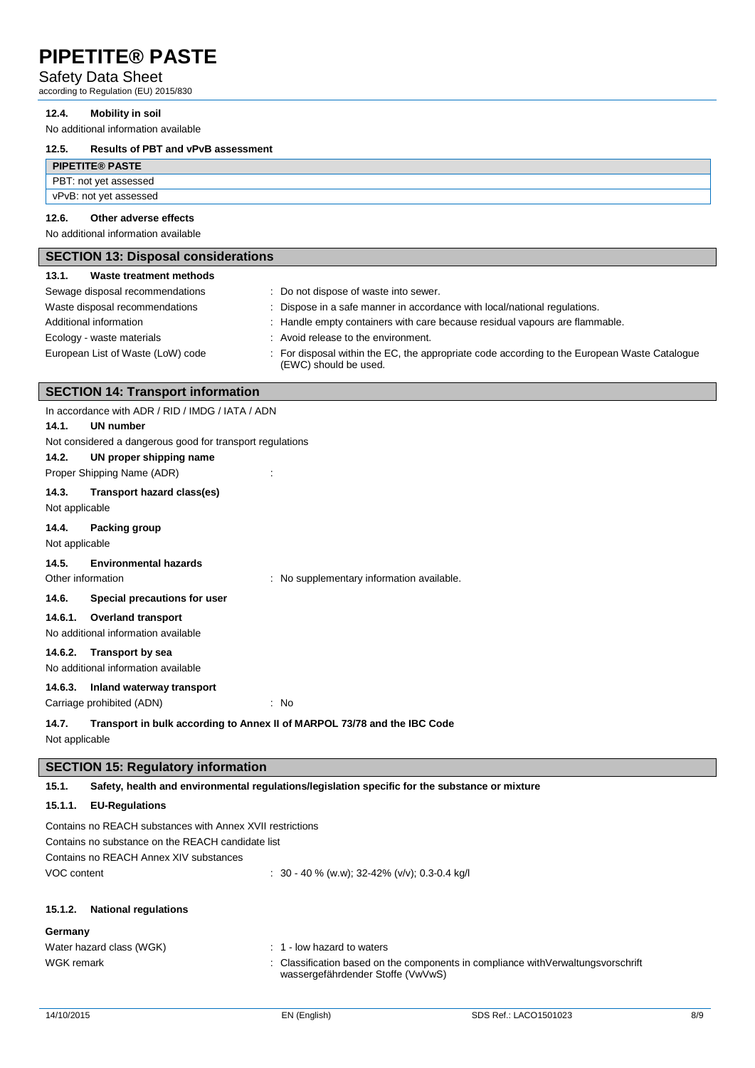#### Safety Data Sheet

according to Regulation (EU) 2015/830

#### **12.4. Mobility in soil**

No additional information available

#### **12.5. Results of PBT and vPvB assessment**

| <b>PIPETITE® PASTE</b> |  |
|------------------------|--|
| PBT: not yet assessed  |  |
| vPvB: not yet assessed |  |
|                        |  |

#### **12.6. Other adverse effects**

No additional information available

| <b>SECTION 13: Disposal considerations</b> |                                                                                                                       |  |
|--------------------------------------------|-----------------------------------------------------------------------------------------------------------------------|--|
| Waste treatment methods<br>13.1.           |                                                                                                                       |  |
| Sewage disposal recommendations            | : Do not dispose of waste into sewer.                                                                                 |  |
| Waste disposal recommendations             | : Dispose in a safe manner in accordance with local/national regulations.                                             |  |
| Additional information                     | : Handle empty containers with care because residual vapours are flammable.                                           |  |
| Ecology - waste materials                  | : Avoid release to the environment.                                                                                   |  |
| European List of Waste (LoW) code          | : For disposal within the EC, the appropriate code according to the European Waste Catalogue<br>(EWC) should be used. |  |

#### **SECTION 14: Transport information**

|                   | In accordance with ADR / RID / IMDG / IATA / ADN          |                                                                          |
|-------------------|-----------------------------------------------------------|--------------------------------------------------------------------------|
| 14.1.             | <b>UN number</b>                                          |                                                                          |
|                   | Not considered a dangerous good for transport regulations |                                                                          |
| 14.2.             | UN proper shipping name                                   |                                                                          |
|                   | Proper Shipping Name (ADR)                                |                                                                          |
| 14.3.             | Transport hazard class(es)                                |                                                                          |
| Not applicable    |                                                           |                                                                          |
| 14.4.             | Packing group                                             |                                                                          |
| Not applicable    |                                                           |                                                                          |
| 14.5.             | <b>Environmental hazards</b>                              |                                                                          |
| Other information |                                                           | : No supplementary information available.                                |
| 14.6.             | Special precautions for user                              |                                                                          |
| 14.6.1.           | <b>Overland transport</b>                                 |                                                                          |
|                   | No additional information available                       |                                                                          |
| 14.6.2.           | <b>Transport by sea</b>                                   |                                                                          |
|                   | No additional information available                       |                                                                          |
| 14.6.3.           | Inland waterway transport                                 |                                                                          |
|                   | Carriage prohibited (ADN)                                 | $\therefore$ No                                                          |
| 14.7.             |                                                           | Transport in bulk according to Annex II of MARPOL 73/78 and the IBC Code |
| Not applicable    |                                                           |                                                                          |

#### **SECTION 15: Regulatory information**

**15.1. Safety, health and environmental regulations/legislation specific for the substance or mixture**

#### **15.1.1. EU-Regulations**

| Contains no REACH substances with Annex XVII restrictions |                                                          |  |
|-----------------------------------------------------------|----------------------------------------------------------|--|
| Contains no substance on the REACH candidate list         |                                                          |  |
| Contains no REACH Annex XIV substances                    |                                                          |  |
| VOC content                                               | $\therefore$ 30 - 40 % (w.w); 32-42% (v/v); 0.3-0.4 kg/l |  |

#### **15.1.2. National regulations**

#### **Germany**

| Water hazard class (WGK) | $: 1$ - low hazard to waters                                                                                            |
|--------------------------|-------------------------------------------------------------------------------------------------------------------------|
| WGK remark               | : Classification based on the components in compliance with Verwaltungs vorschrift<br>wassergefährdender Stoffe (VwVwS) |